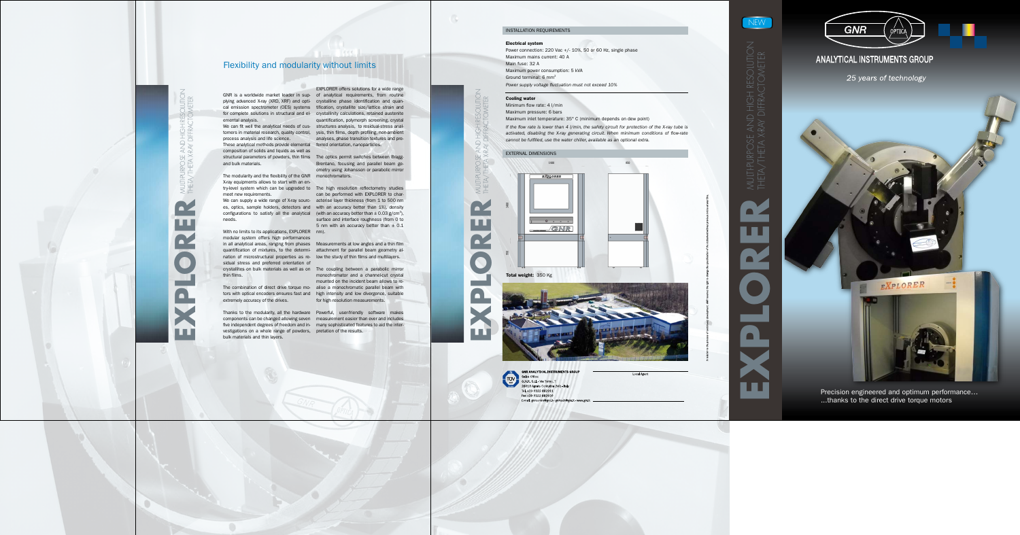# NEW

EXPLORER MULTI-PURPOSE AND HIGH RESOLUTION

ш



# ANALYTICAL INSTRUMENTS GROUP



25 years of technology

...thanks to the direct drive torque motors

### Electrical system

Power connection: 220 Vac +/- 10%, 50 or 60 Hz, single phase Maximum mains current: 40 A Main fuse: 32 A Maximum power consumption: 5 kVA Ground terminal: 6 mm 2

*Power supply voltage fluctuation must not exceed 10%*

### Cooling water

Minimum flow rate: 4 l/min Maximum pressure: 6 bars Maximum inlet temperature: 35° C (minimum depends on dew point)

*If the flow rate is lower than 4 l/min, the safety circuit for protection of the X-ray tube is activated, disabling the X-ray generating circuit. When minimum conditions of flow-rate* 

*cannot be fulfilled, use the water chiller, available as an optional extra.*

Thanks to the modularity, all the hardware Powerful, user-friendly software makes components can be changed allowing seven measurement easier than ever and includes five independent degrees of freedom and in- many sophisticated features to aid the inter-

EXPLORER MULTI-PURPOSE AND HIGH RESOLUTION  $\blacksquare$ **O** 

### INSTALLATION REQUIREMENTS

emental analysis.

composition of solids and liquids as well as structural parameters of powders, thin films The optics permit switches between Braggand bulk materials.

The modularity and the flexibility of the G NR monochromators. X-ray equipments allows to start with an en try-level system which can be upgraded to The high resolution reflectometry studies meet new requirements.

es, optics, sample holders, detectors and with an accuracy better than 1%), density configurations to satisfy all the analytical (with an accuracy better than  $\pm$  0.03 g/cm<sup>3</sup>), needs.

thin films.<br>monochromator and a channel-cut crystal<br>The combination of direct drive torque mo- alise a monochromatic parallel beam with monochromator and a channel-cut crystal mounted on the incident beam allows to re for high resolution measurements.

G NR is a worldwide market leader in sup - of analytical requirements, from routine plying advanced X-ray (XRD, XRF) and opti - crystalline phase identification and quan cal emission spectrometer (OES) systems tification, crystallite size/lattice strain and for complete solutions in structural and el- crystallinity calculations, retained austenite We can fit well the analytical needs of cus- structures analysis, to residual-stress analtomers in material research, quality control, ysis, thin films, depth profiling, non-ambient process analysis and life science. The analyses, phase transition texture<br>These analytical methods provide elemental ferred orientation, nanoparticles. EXPLO R ER offers solutions for a wide range quantification, polymorph screening, crystal analyses, phase transition textures and pre -

tors with optical encoders ensures fast and high intensity and low divergence, suitable extremely accuracy of the drives.

vestigations on a whole range of powders, pretation of the results. bulk materials and thin layers.







**GNR ANALYTICAL INSTRUMENTS GROUP** Sales Office: G.N.R. S.r.I. Via Torino, 7 28010 Agrate Conturbia (NO) - Italy Tel. +39 0322 882911 Fax +39 0322 882930 Email: gnrcomm@gnr.it - gnrtech@gnr.it - www.gnr.it

Local Agent

With no limits to its applications, EXPLO R ER modular system offers high performances With no limits to its applications, EXPLORER nm).<br>modular system offers high performances<br>in all analytical areas, ranging from phases Measurements at low angles and a thin film quantification of mixtures, to the determi- attachment for parallel beam geometry alnation of microstructural properties as re - low the study of thin films and multilayers. sidual stress and preferred orientation of crystallites on bulk materials as well as on The coupling between a parabolic mirror

Brentano, focusing and parallel beam geometry using Johansson or parabolic mirror

We can supply a wide range of X-ray sourc- acterise layer thickness (from 1 to 500 nm can be performed with EXPLORER to charsurface and interface roughness (from 0 to 5 nm with an accuracy better than  $\pm$  0.1

# Flexibility and modularity without limits